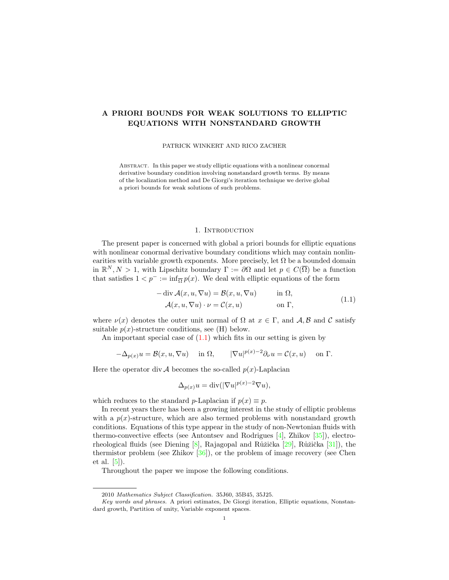# A PRIORI BOUNDS FOR WEAK SOLUTIONS TO ELLIPTIC EQUATIONS WITH NONSTANDARD GROWTH

PATRICK WINKERT AND RICO ZACHER

Abstract. In this paper we study elliptic equations with a nonlinear conormal derivative boundary condition involving nonstandard growth terms. By means of the localization method and De Giorgi's iteration technique we derive global a priori bounds for weak solutions of such problems.

### <span id="page-0-0"></span>1. Introduction

The present paper is concerned with global a priori bounds for elliptic equations with nonlinear conormal derivative boundary conditions which may contain nonlinearities with variable growth exponents. More precisely, let  $\Omega$  be a bounded domain in  $\mathbb{R}^N, N > 1$ , with Lipschitz boundary  $\Gamma := \partial\Omega$  and let  $p \in C(\overline{\Omega})$  be a function that satisfies  $1 < p^- := \inf_{\overline{\Omega}} p(x)$ . We deal with elliptic equations of the form

$$
- \operatorname{div} \mathcal{A}(x, u, \nabla u) = \mathcal{B}(x, u, \nabla u) \quad \text{in } \Omega,
$$
  

$$
\mathcal{A}(x, u, \nabla u) \cdot \nu = \mathcal{C}(x, u) \quad \text{on } \Gamma,
$$
 (1.1)

where  $\nu(x)$  denotes the outer unit normal of  $\Omega$  at  $x \in \Gamma$ , and  $\mathcal{A}, \mathcal{B}$  and C satisfy suitable  $p(x)$ -structure conditions, see (H) below.

An important special case of  $(1.1)$  which fits in our setting is given by

$$
-\Delta_{p(x)}u = \mathcal{B}(x, u, \nabla u) \quad \text{ in } \Omega, \qquad |\nabla u|^{p(x)-2}\partial_{\nu}u = \mathcal{C}(x, u) \quad \text{ on } \Gamma.
$$

Here the operator div  $A$  becomes the so-called  $p(x)$ -Laplacian

$$
\Delta_{p(x)} u = \text{div}(|\nabla u|^{p(x)-2} \nabla u),
$$

which reduces to the standard p-Laplacian if  $p(x) \equiv p$ .

In recent years there has been a growing interest in the study of elliptic problems with a  $p(x)$ -structure, which are also termed problems with nonstandard growth conditions. Equations of this type appear in the study of non-Newtonian fluids with thermo-convective effects (see Antontsev and Rodrigues [\[4\]](#page-12-0), Zhikov [\[35\]](#page-13-0)), electrorheological fluids (see Diening  $[8]$ , Rajagopal and Růžička  $[29]$ , Růžička  $[31]$ ), the thermistor problem (see Zhikov  $[36]$ ), or the problem of image recovery (see Chen et al. [\[5\]](#page-12-2)).

Throughout the paper we impose the following conditions.

<sup>2010</sup> Mathematics Subject Classification. 35J60, 35B45, 35J25.

Key words and phrases. A priori estimates, De Giorgi iteration, Elliptic equations, Nonstandard growth, Partition of unity, Variable exponent spaces.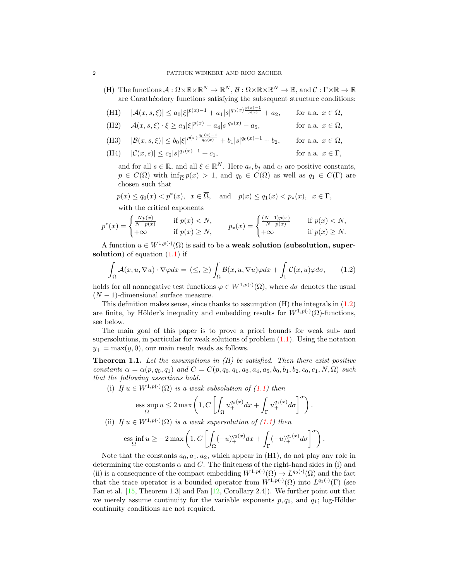(H) The functions  $\mathcal{A}: \Omega \times \mathbb{R} \times \mathbb{R}^N \to \mathbb{R}^N$ ,  $\mathcal{B}: \Omega \times \mathbb{R} \times \mathbb{R}^N \to \mathbb{R}$ , and  $\mathcal{C}: \Gamma \times \mathbb{R} \to \mathbb{R}$ are Carathéodory functions satisfying the subsequent structure conditions:

(H1) 
$$
|\mathcal{A}(x, s, \xi)| \le a_0 |\xi|^{p(x)-1} + a_1 |s|^{q_0(x)\frac{p(x)-1}{p(x)}} + a_2
$$
, for a.a.  $x \in \Omega$ ,

(H2)  $\mathcal{A}(x, s, \xi) \cdot \xi \ge a_3 |\xi|^{p(x)} - a_4 |s|$ for a.a.  $x \in \Omega$ ,

(H3) 
$$
|\mathcal{B}(x, s, \xi)| \le b_0 |\xi|^{p(x) \frac{q_0(x)-1}{q_0(x)}} + b_1 |s|^{q_0(x)-1} + b_2
$$
, for a.a.  $x \in \Omega$ ,

(H4)  $|\mathcal{C}(x, s)| \leq c_0 |s|^{q_1(x)-1} + c_1,$ for a.a.  $x \in \Gamma$ ,

and for all  $s \in \mathbb{R}$ , and all  $\xi \in \mathbb{R}^N$ . Here  $a_i, b_j$  and  $c_l$  are positive constants,  $p \in C(\overline{\Omega})$  with  $\inf_{\overline{\Omega}} p(x) > 1$ , and  $q_0 \in C(\overline{\Omega})$  as well as  $q_1 \in C(\Gamma)$  are chosen such that

 $p(x) \le q_0(x) < p^*(x)$ ,  $x \in \overline{\Omega}$ , and  $p(x) \le q_1(x) < p_*(x)$ ,  $x \in \Gamma$ ,

<span id="page-1-0"></span>with the critical exponents

$$
p^*(x) = \begin{cases} \frac{Np(x)}{N-p(x)} & \text{if } p(x) < N, \\ +\infty & \text{if } p(x) \ge N, \end{cases} \qquad p_*(x) = \begin{cases} \frac{(N-1)p(x)}{N-p(x)} & \text{if } p(x) < N, \\ +\infty & \text{if } p(x) \ge N. \end{cases}
$$

A function  $u \in W^{1,p(\cdot)}(\Omega)$  is said to be a **weak solution** (subsolution, supersolution) of equation  $(1.1)$  if

$$
\int_{\Omega} \mathcal{A}(x, u, \nabla u) \cdot \nabla \varphi dx = (\leq, \geq) \int_{\Omega} \mathcal{B}(x, u, \nabla u) \varphi dx + \int_{\Gamma} \mathcal{C}(x, u) \varphi d\sigma, \qquad (1.2)
$$

holds for all nonnegative test functions  $\varphi \in W^{1,p(\cdot)}(\Omega)$ , where  $d\sigma$  denotes the usual  $(N-1)$ -dimensional surface measure.

This definition makes sense, since thanks to assumption  $(H)$  the integrals in  $(1.2)$ are finite, by Hölder's inequality and embedding results for  $W^{1,p(\cdot)}(\Omega)$ -functions, see below.

The main goal of this paper is to prove a priori bounds for weak sub- and supersolutions, in particular for weak solutions of problem  $(1.1)$ . Using the notation  $y_+ = \max(y, 0)$ , our main result reads as follows.

<span id="page-1-1"></span>**Theorem 1.1.** Let the assumptions in  $(H)$  be satisfied. Then there exist positive constants  $\alpha = \alpha(p, q_0, q_1)$  and  $C = C(p, q_0, q_1, a_3, a_4, a_5, b_0, b_1, b_2, c_0, c_1, N, \Omega)$  such that the following assertions hold.

(i) If 
$$
u \in W^{1,p(\cdot)}(\Omega)
$$
 is a weak subsolution of (1.1) then

$$
\operatorname*{ess\;sup}_{\Omega} u \leq 2 \max \left( 1, C \left[ \int_{\Omega} u_{+}^{q_0(x)} dx + \int_{\Gamma} u_{+}^{q_1(x)} d\sigma \right]^{\alpha} \right).
$$

(ii) If 
$$
u \in W^{1,p(\cdot)}(\Omega)
$$
 is a weak supersolution of (1.1) then

$$
\underset{\Omega}{\mathrm{ess}}\inf u \ge -2\max\left(1, C\left[\int_{\Omega}(-u)_+^{q_0(x)}dx + \int_{\Gamma}(-u)_+^{q_1(x)}d\sigma\right]^\alpha\right).
$$

Note that the constants  $a_0, a_1, a_2$ , which appear in (H1), do not play any role in determining the constants  $\alpha$  and  $C$ . The finiteness of the right-hand sides in (i) and (ii) is a consequence of the compact embedding  $W^{1,p(\cdot)}(\Omega) \to L^{q_0(\cdot)}(\Omega)$  and the fact that the trace operator is a bounded operator from  $W^{1,p(\cdot)}(\Omega)$  into  $L^{q_1(\cdot)}(\Gamma)$  (see Fan et al. [\[15,](#page-12-3) Theorem 1.3] and Fan [\[12,](#page-12-4) Corollary 2.4]). We further point out that we merely assume continuity for the variable exponents  $p, q_0$ , and  $q_1$ ; log-Hölder continuity conditions are not required.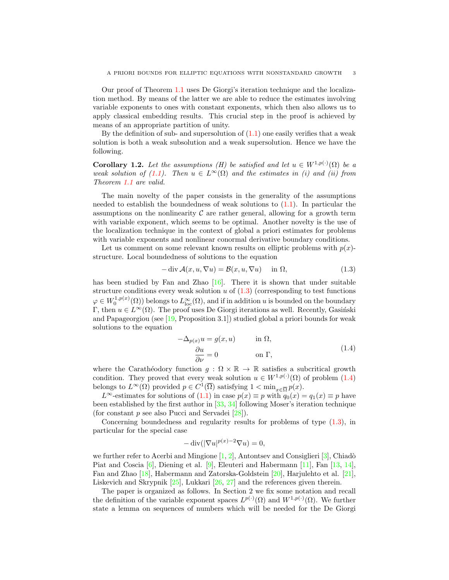Our proof of Theorem [1.1](#page-1-1) uses De Giorgi's iteration technique and the localization method. By means of the latter we are able to reduce the estimates involving variable exponents to ones with constant exponents, which then also allows us to apply classical embedding results. This crucial step in the proof is achieved by means of an appropriate partition of unity.

By the definition of sub- and supersolution of  $(1.1)$  one easily verifies that a weak solution is both a weak subsolution and a weak supersolution. Hence we have the following.

**Corollary 1.2.** Let the assumptions (H) be satisfied and let  $u \in W^{1,p(\cdot)}(\Omega)$  be a weak solution of [\(1.1\)](#page-0-0). Then  $u \in L^{\infty}(\Omega)$  and the estimates in (i) and (ii) from Theorem [1.1](#page-1-1) are valid.

The main novelty of the paper consists in the generality of the assumptions needed to establish the boundedness of weak solutions to  $(1.1)$ . In particular the assumptions on the nonlinearity  $\mathcal C$  are rather general, allowing for a growth term with variable exponent, which seems to be optimal. Another novelty is the use of the localization technique in the context of global a priori estimates for problems with variable exponents and nonlinear conormal derivative boundary conditions.

Let us comment on some relevant known results on elliptic problems with  $p(x)$ structure. Local boundedness of solutions to the equation

<span id="page-2-0"></span>
$$
-\operatorname{div} \mathcal{A}(x, u, \nabla u) = \mathcal{B}(x, u, \nabla u) \quad \text{in } \Omega,
$$
\n(1.3)

has been studied by Fan and Zhao  $[16]$ . There it is shown that under suitable structure conditions every weak solution  $u$  of  $(1.3)$  (corresponding to test functions  $\varphi \in W_0^{1,p(x)}(\Omega)$  belongs to  $L^\infty_{\text{loc}}(\Omega)$ , and if in addition u is bounded on the boundary Γ, then  $u \in L^{\infty}(\Omega)$ . The proof uses De Giorgi iterations as well. Recently, Gasiński and Papageorgiou (see [\[19,](#page-12-6) Proposition 3.1]) studied global a priori bounds for weak solutions to the equation

<span id="page-2-1"></span>
$$
-\Delta_{p(x)}u = g(x, u) \qquad \text{in } \Omega,
$$
  
\n
$$
\frac{\partial u}{\partial \nu} = 0 \qquad \text{on } \Gamma,
$$
\n(1.4)

where the Carathéodory function  $q : \Omega \times \mathbb{R} \to \mathbb{R}$  satisfies a subcritical growth condition. They proved that every weak solution  $u \in W^{1,p(\cdot)}(\Omega)$  of problem  $(1.4)$ belongs to  $L^{\infty}(\Omega)$  provided  $p \in C^1(\overline{\Omega})$  satisfying  $1 < \min_{x \in \overline{\Omega}} p(x)$ .

L<sup>∞</sup>-estimates for solutions of [\(1.1\)](#page-0-0) in case  $p(x) \equiv p$  with  $q_0(x) = q_1(x) \equiv p$  have been established by the first author in [\[33,](#page-13-4) [34\]](#page-13-5) following Moser's iteration technique (for constant  $p$  see also Pucci and Servadei  $[28]$ ).

Concerning boundedness and regularity results for problems of type [\(1.3\)](#page-2-0), in particular for the special case

$$
-\operatorname{div}(|\nabla u|^{p(x)-2}\nabla u) = 0,
$$

we further refer to Acerbi and Mingione  $[1, 2]$  $[1, 2]$ , Antontsev and Consiglieri  $[3]$ , Chiadò Piat and Coscia [\[6\]](#page-12-10), Diening et al. [\[9\]](#page-12-11), Eleuteri and Habermann [\[11\]](#page-12-12), Fan [\[13,](#page-12-13) [14\]](#page-12-14), Fan and Zhao [\[18\]](#page-12-15), Habermann and Zatorska-Goldstein [\[20\]](#page-12-16), Harjulehto et al. [\[21\]](#page-12-17), Liskevich and Skrypnik [\[25\]](#page-12-18), Lukkari [\[26,](#page-12-19) [27\]](#page-13-7) and the references given therein.

The paper is organized as follows. In Section 2 we fix some notation and recall the definition of the variable exponent spaces  $L^{p(\cdot)}(\Omega)$  and  $W^{1,p(\cdot)}(\Omega)$ . We further state a lemma on sequences of numbers which will be needed for the De Giorgi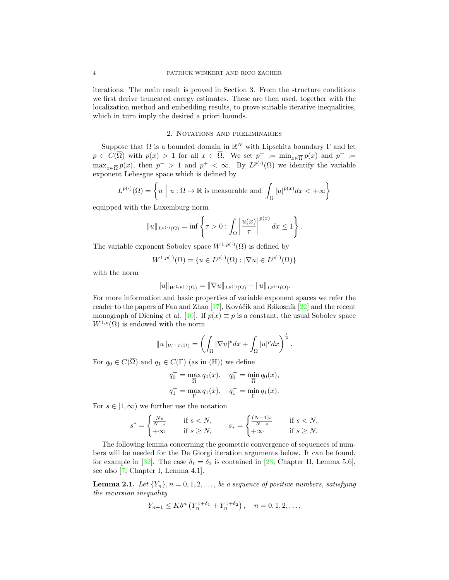iterations. The main result is proved in Section 3. From the structure conditions we first derive truncated energy estimates. These are then used, together with the localization method and embedding results, to prove suitable iterative inequalities, which in turn imply the desired a priori bounds.

### 2. Notations and preliminaries

Suppose that  $\Omega$  is a bounded domain in  $\mathbb{R}^N$  with Lipschitz boundary  $\Gamma$  and let  $p \in C(\overline{\Omega})$  with  $p(x) > 1$  for all  $x \in \overline{\Omega}$ . We set  $p^- := \min_{x \in \overline{\Omega}} p(x)$  and  $p^+ :=$  $\max_{x \in \overline{\Omega}} p(x)$ , then  $p^{-} > 1$  and  $p^{+} < \infty$ . By  $L^{p(\cdot)}(\Omega)$  we identify the variable exponent Lebesgue space which is defined by

$$
L^{p(\cdot)}(\Omega) = \left\{ u \mid u : \Omega \to \mathbb{R} \text{ is measurable and } \int_{\Omega} |u|^{p(x)} dx < +\infty \right\}
$$

equipped with the Luxemburg norm

$$
||u||_{L^{p(\cdot)}(\Omega)} = \inf \left\{ \tau > 0 : \int_{\Omega} \left| \frac{u(x)}{\tau} \right|^{p(x)} dx \le 1 \right\}.
$$

The variable exponent Sobolev space  $W^{1,p(\cdot)}(\Omega)$  is defined by

$$
W^{1,p(\cdot)}(\Omega) = \{ u \in L^{p(\cdot)}(\Omega) : |\nabla u| \in L^{p(\cdot)}(\Omega) \}
$$

with the norm

$$
||u||_{W^{1,p(\cdot)}(\Omega)} = ||\nabla u||_{L^{p(\cdot)}(\Omega)} + ||u||_{L^{p(\cdot)}(\Omega)}.
$$

For more information and basic properties of variable exponent spaces we refer the reader to the papers of Fan and Zhao  $[17]$ , Kováčik and Rákosník  $[22]$  and the recent monograph of Diening et al. [\[10\]](#page-12-22). If  $p(x) \equiv p$  is a constant, the usual Sobolev space  $W^{1,p}(\Omega)$  is endowed with the norm

$$
||u||_{W^{1,p}(\Omega)} = \left(\int_{\Omega} |\nabla u|^p dx + \int_{\Omega} |u|^p dx\right)^{\frac{1}{p}}.
$$

For  $q_0 \in C(\overline{\Omega})$  and  $q_1 \in C(\Gamma)$  (as in (H)) we define

$$
q_0^+ = \max_{\overline{\Omega}} q_0(x), \quad q_0^- = \min_{\overline{\Omega}} q_0(x),
$$
  
 $q_1^+ = \max_{\Gamma} q_1(x), \quad q_1^- = \min_{\Gamma} q_1(x).$ 

For  $s \in [1, \infty)$  we further use the notation

$$
s^* = \begin{cases} \frac{Ns}{N-s} & \text{if } s < N, \\ +\infty & \text{if } s \ge N, \end{cases} \qquad s_* = \begin{cases} \frac{(N-1)s}{N-s} & \text{if } s < N, \\ +\infty & \text{if } s \ge N. \end{cases}
$$

The following lemma concerning the geometric convergence of sequences of numbers will be needed for the De Giorgi iteration arguments below. It can be found, for example in [\[32\]](#page-13-8). The case  $\delta_1 = \delta_2$  is contained in [\[23,](#page-12-23) Chapter II, Lemma 5.6], see also [\[7,](#page-12-24) Chapter I, Lemma 4.1].

<span id="page-3-0"></span>**Lemma 2.1.** Let  $\{Y_n\}, n = 0, 1, 2, \ldots$ , be a sequence of positive numbers, satisfying the recursion inequality

$$
Y_{n+1} \le Kb^n \left( Y_n^{1+\delta_1} + Y_n^{1+\delta_2} \right), \quad n = 0, 1, 2, \dots,
$$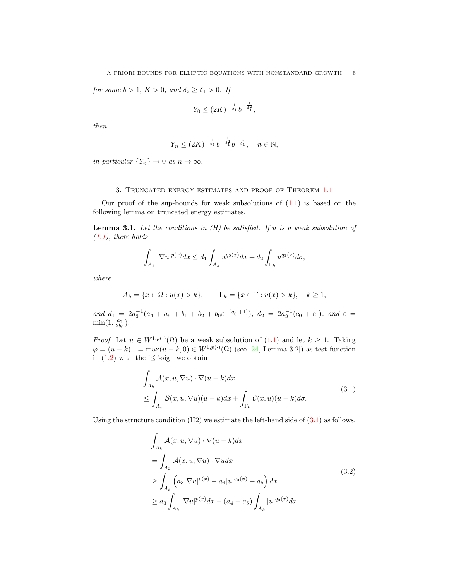for some  $b > 1$ ,  $K > 0$ , and  $\delta_2 \ge \delta_1 > 0$ . If

$$
Y_0 \le (2K)^{-\frac{1}{\delta_1}} b^{-\frac{1}{\delta_1^2}},
$$

then

$$
Y_n \le (2K)^{-\frac{1}{\delta_1}} b^{-\frac{1}{\delta_1^2}} b^{-\frac{n}{\delta_1}}, \quad n \in \mathbb{N},
$$

in particular  ${Y_n} \to 0$  as  $n \to \infty$ .

## 3. Truncated energy estimates and proof of Theorem [1.1](#page-1-1)

Our proof of the sup-bounds for weak subsolutions of  $(1.1)$  is based on the following lemma on truncated energy estimates.

<span id="page-4-1"></span>**Lemma 3.1.** Let the conditions in  $(H)$  be satisfied. If u is a weak subsolution of  $(1.1)$ , there holds

$$
\int_{A_k}|\nabla u|^{p(x)}dx\leq d_1\int_{A_k}u^{q_0(x)}dx+d_2\int_{\Gamma_k}u^{q_1(x)}d\sigma,
$$

where

$$
A_k = \{x \in \Omega : u(x) > k\},
$$
  $\Gamma_k = \{x \in \Gamma : u(x) > k\},$   $k \ge 1$ ,

and  $d_1 = 2a_3^{-1}(a_4 + a_5 + b_1 + b_2 + b_0 \varepsilon^{-(q_0^+ + 1)}), d_2 = 2a_3^{-1}(c_0 + c_1),$  and  $\varepsilon =$  $\min(1, \frac{a_3}{2b_0}).$ 

*Proof.* Let  $u \in W^{1,p(\cdot)}(\Omega)$  be a weak subsolution of  $(1.1)$  and let  $k \geq 1$ . Taking  $\varphi = (u - k)_+ = \max(u - k, 0) \in W^{1, p(\cdot)}(\Omega)$  (see [\[24,](#page-12-25) Lemma 3.2]) as test function in  $(1.2)$  with the ' $\leq$ '-sign we obtain

$$
\int_{A_k} \mathcal{A}(x, u, \nabla u) \cdot \nabla (u - k) dx
$$
\n
$$
\leq \int_{A_k} \mathcal{B}(x, u, \nabla u)(u - k) dx + \int_{\Gamma_k} \mathcal{C}(x, u)(u - k) d\sigma.
$$
\n(3.1)

Using the structure condition  $(H2)$  we estimate the left-hand side of  $(3.1)$  as follows.

<span id="page-4-0"></span>
$$
\int_{A_k} \mathcal{A}(x, u, \nabla u) \cdot \nabla (u - k) dx
$$
\n
$$
= \int_{A_k} \mathcal{A}(x, u, \nabla u) \cdot \nabla u dx
$$
\n
$$
\geq \int_{A_k} \left( a_3 |\nabla u|^{p(x)} - a_4 |u|^{q_0(x)} - a_5 \right) dx
$$
\n
$$
\geq a_3 \int_{A_k} |\nabla u|^{p(x)} dx - (a_4 + a_5) \int_{A_k} |u|^{q_0(x)} dx,
$$
\n(3.2)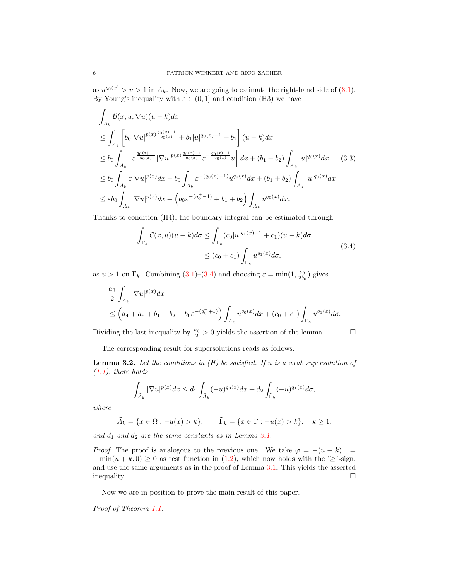as  $u^{q_0(x)} > u > 1$  in  $A_k$ . Now, we are going to estimate the right-hand side of [\(3.1\)](#page-4-0). By Young's inequality with  $\varepsilon \in (0,1]$  and condition (H3) we have

$$
\int_{A_k} \mathcal{B}(x, u, \nabla u)(u - k) dx
$$
\n
$$
\leq \int_{A_k} \left[ b_0 |\nabla u|^{p(x) \frac{q_0(x) - 1}{q_0(x)}} + b_1 |u|^{q_0(x) - 1} + b_2 \right] (u - k) dx
$$
\n
$$
\leq b_0 \int_{A_k} \left[ \varepsilon^{\frac{q_0(x) - 1}{q_0(x)}} |\nabla u|^{p(x) \frac{q_0(x) - 1}{q_0(x)}} \varepsilon^{-\frac{q_0(x) - 1}{q_0(x)}} u \right] dx + (b_1 + b_2) \int_{A_k} |u|^{q_0(x)} dx \qquad (3.3)
$$
\n
$$
\leq b_0 \int_{A_k} \varepsilon |\nabla u|^{p(x)} dx + b_0 \int_{A_k} \varepsilon^{-(q_0(x) - 1)} u^{q_0(x)} dx + (b_1 + b_2) \int_{A_k} |u|^{q_0(x)} dx
$$
\n
$$
\leq \varepsilon b_0 \int_{A_k} |\nabla u|^{p(x)} dx + \left( b_0 \varepsilon^{-(q_0^+ - 1)} + b_1 + b_2 \right) \int_{A_k} u^{q_0(x)} dx.
$$

Thanks to condition (H4), the boundary integral can be estimated through

<span id="page-5-0"></span>
$$
\int_{\Gamma_k} C(x, u)(u - k)d\sigma \le \int_{\Gamma_k} (c_0|u|^{q_1(x)-1} + c_1)(u - k)d\sigma
$$
\n
$$
\le (c_0 + c_1) \int_{\Gamma_k} u^{q_1(x)}d\sigma,
$$
\n(3.4)

as  $u > 1$  on  $\Gamma_k$ . Combining [\(3.1\)](#page-4-0)–[\(3.4\)](#page-5-0) and choosing  $\varepsilon = \min(1, \frac{a_3}{2b_0})$  gives

$$
\begin{aligned} &\frac{a_3}{2} \int_{A_k} |\nabla u|^{p(x)} dx \\ &\le \left( a_4 + a_5 + b_1 + b_2 + b_0 \varepsilon^{-(q_0^+ + 1)} \right) \int_{A_k} u^{q_0(x)} dx + (c_0 + c_1) \int_{\Gamma_k} u^{q_1(x)} d\sigma. \end{aligned}
$$

Dividing the last inequality by  $\frac{a_3}{2} > 0$  yields the assertion of the lemma.

The corresponding result for supersolutions reads as follows.

<span id="page-5-1"></span>**Lemma 3.2.** Let the conditions in  $(H)$  be satisfied. If u is a weak supersolution of  $(1.1)$ , there holds

$$
\int_{\tilde{A}_k} |\nabla u|^{p(x)} dx \le d_1 \int_{\tilde{A}_k} (-u)^{q_0(x)} dx + d_2 \int_{\tilde{\Gamma}_k} (-u)^{q_1(x)} d\sigma,
$$

where

$$
\tilde{A}_k = \{ x \in \Omega : -u(x) > k \}, \qquad \tilde{\Gamma}_k = \{ x \in \Gamma : -u(x) > k \}, \quad k \ge 1,
$$

and  $d_1$  and  $d_2$  are the same constants as in Lemma [3.1.](#page-4-1)

*Proof.* The proof is analogous to the previous one. We take  $\varphi = -(u + k)$ <sub>−</sub>  $-\min(u+k,0) \geq 0$  as test function in [\(1.2\)](#page-1-0), which now holds with the ' $\geq$ '-sign, and use the same arguments as in the proof of Lemma [3.1.](#page-4-1) This yields the asserted inequality.

Now we are in position to prove the main result of this paper.

Proof of Theorem [1.1.](#page-1-1)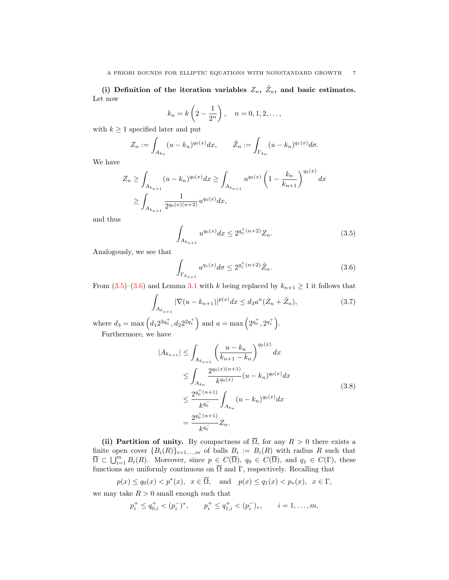(i) Definition of the iteration variables  $Z_n$ ,  $\tilde{Z}_n$ , and basic estimates. Let now

$$
k_n = k\left(2 - \frac{1}{2^n}\right), \quad n = 0, 1, 2, \dots,
$$

with  $k \geq 1$  specified later and put

$$
Z_n := \int_{A_{k_n}} (u - k_n)^{q_0(x)} dx, \qquad \tilde{Z}_n := \int_{\Gamma_{k_n}} (u - k_n)^{q_1(x)} d\sigma.
$$

We have

$$
Z_n \ge \int_{A_{k_{n+1}}} (u - k_n)^{q_0(x)} dx \ge \int_{A_{k_{n+1}}} u^{q_0(x)} \left(1 - \frac{k_n}{k_{n+1}}\right)^{q_0(x)} dx
$$
  

$$
\ge \int_{A_{k_{n+1}}} \frac{1}{2^{q_0(x)(n+2)}} u^{q_0(x)} dx,
$$

and thus

<span id="page-6-0"></span>
$$
\int_{A_{k_{n+1}}} u^{q_0(x)} dx \le 2^{q_0^+(n+2)} Z_n.
$$
\n(3.5)

Analogously, we see that

<span id="page-6-2"></span><span id="page-6-1"></span>
$$
\int_{\Gamma_{k_{n+1}}} u^{q_1(x)} d\sigma \le 2^{q_1^+(n+2)} \tilde{Z}_n.
$$
\n(3.6)

From  $(3.5)-(3.6)$  $(3.5)-(3.6)$  and Lemma [3.1](#page-4-1) with k being replaced by  $k_{n+1} \geq 1$  it follows that

$$
\int_{A_{k_{n+1}}} |\nabla(u - k_{n+1})|^{p(x)} dx \leq d_3 a^n (Z_n + \tilde{Z}_n),
$$
\n(3.7)

where  $d_3 = \max\left(d_1 2^{2q_0^+}, d_2 2^{2q_1^+}\right)$  and  $a = \max\left(2^{q_0^+}, 2^{q_1^+}\right)$ . Furthermore, we have

<span id="page-6-3"></span>
$$
|A_{k_{n+1}}| \leq \int_{A_{k_{n+1}}} \left(\frac{u - k_n}{k_{n+1} - k_n}\right)^{q_0(x)} dx
$$
  
\n
$$
\leq \int_{A_{k_n}} \frac{2^{q_0(x)(n+1)}}{k^{q_0(x)}} (u - k_n)^{q_0(x)} dx
$$
  
\n
$$
\leq \frac{2^{q_0^+(n+1)}}{k^{q_0^-}} \int_{A_{k_n}} (u - k_n)^{q_0(x)} dx
$$
  
\n
$$
= \frac{2^{q_0^+(n+1)}}{k^{q_0^-}} Z_n.
$$
 (3.8)

(ii) Partition of unity. By compactness of  $\overline{\Omega}$ , for any  $R > 0$  there exists a finite open cover  ${B_i(R)}_{i=1,...,m}$  of balls  $B_i := B_i(R)$  with radius R such that  $\overline{\Omega} \subset \bigcup_{i=1}^m B_i(R)$ . Moreover, since  $p \in C(\overline{\Omega})$ ,  $q_0 \in C(\overline{\Omega})$ , and  $q_1 \in C(\Gamma)$ , these functions are uniformly continuous on  $\Omega$  and  $\Gamma$ , respectively. Recalling that

$$
p(x) \le q_0(x) < p^*(x), \quad x \in \overline{\Omega}, \quad \text{and} \quad p(x) \le q_1(x) < p_*(x), \quad x \in \Gamma,
$$

we may take  $R > 0$  small enough such that

$$
p_i^+ \leq q_{0,i}^+ < (p_i^-)^*
$$
,  $p_i^+ \leq q_{1,i}^+ < (p_i^-)_*$ ,  $i = 1, ..., m$ ,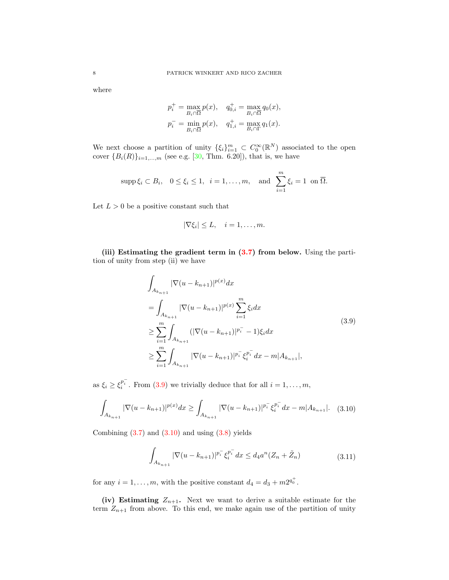where

$$
p_i^+ = \max_{B_i \cap \overline{\Omega}} p(x), \quad q_{0,i}^+ = \max_{B_i \cap \overline{\Omega}} q_0(x),
$$
  

$$
p_i^- = \min_{B_i \cap \overline{\Omega}} p(x), \quad q_{1,i}^+ = \max_{B_i \cap \overline{\Omega}} q_1(x).
$$

We next choose a partition of unity  $\{\xi_i\}_{i=1}^m \subset C_0^{\infty}(\mathbb{R}^N)$  associated to the open cover  ${B_i(R)}_{i=1,...,m}$  (see e.g. [\[30,](#page-13-9) Thm. 6.20]), that is, we have

$$
\mathrm{supp}\,\xi_i\subset B_i,\quad 0\leq\xi_i\leq 1,\ \ i=1,\ldots,m,\quad\text{and}\ \ \sum_{i=1}^m\xi_i=1\ \ \text{on}\ \overline{\Omega}.
$$

Let  $L > 0$  be a positive constant such that

<span id="page-7-0"></span>
$$
|\nabla \xi_i| \leq L, \quad i = 1, \dots, m.
$$

(iii) Estimating the gradient term in [\(3.7\)](#page-6-2) from below. Using the partition of unity from step (ii) we have

$$
\int_{A_{k_{n+1}}} |\nabla(u - k_{n+1})|^{p(x)} dx
$$
\n
$$
= \int_{A_{k_{n+1}}} |\nabla(u - k_{n+1})|^{p(x)} \sum_{i=1}^{m} \xi_i dx
$$
\n
$$
\geq \sum_{i=1}^{m} \int_{A_{k_{n+1}}} (|\nabla(u - k_{n+1})|^{p_i^-} - 1) \xi_i dx
$$
\n
$$
\geq \sum_{i=1}^{m} \int_{A_{k_{n+1}}} |\nabla(u - k_{n+1})|^{p_i^-} \xi_i^{p_i^-} dx - m|A_{k_{n+1}}|,
$$
\n(3.9)

as  $\xi_i \ge \xi_i^{p_i^-}$ . From [\(3.9\)](#page-7-0) we trivially deduce that for all  $i = 1, ..., m$ ,

$$
\int_{A_{k_{n+1}}} |\nabla(u - k_{n+1})|^{p(x)} dx \ge \int_{A_{k_{n+1}}} |\nabla(u - k_{n+1})|^{p_i^-} \xi_i^{p_i^-} dx - m|A_{k_{n+1}}|.
$$
 (3.10)

Combining  $(3.7)$  and  $(3.10)$  and using  $(3.8)$  yields

<span id="page-7-2"></span><span id="page-7-1"></span>
$$
\int_{A_{k_{n+1}}} |\nabla (u - k_{n+1})|^{p_i^-} \xi_i^{p_i^-} dx \le d_4 a^n (Z_n + \tilde{Z}_n)
$$
\n(3.11)

for any  $i = 1, \ldots, m$ , with the positive constant  $d_4 = d_3 + m2^{q_0^+}$ .

(iv) Estimating  $Z_{n+1}$ . Next we want to derive a suitable estimate for the term  $Z_{n+1}$  from above. To this end, we make again use of the partition of unity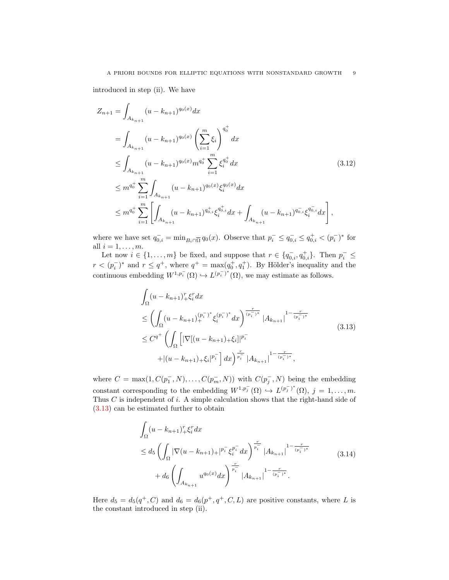introduced in step (ii). We have

$$
Z_{n+1} = \int_{A_{k_{n+1}}} (u - k_{n+1})^{q_0(x)} dx
$$
  
\n
$$
= \int_{A_{k_{n+1}}} (u - k_{n+1})^{q_0(x)} \left(\sum_{i=1}^m \xi_i\right)^{q_0^+} dx
$$
  
\n
$$
\leq \int_{A_{k_{n+1}}} (u - k_{n+1})^{q_0(x)} m^{q_0^+} \sum_{i=1}^m \xi_i^{q_0^+} dx
$$
  
\n
$$
\leq m^{q_0^+} \sum_{i=1}^m \int_{A_{k_{n+1}}} (u - k_{n+1})^{q_0(x)} \xi_i^{q_0(x)} dx
$$
  
\n
$$
\leq m^{q_0^+} \sum_{i=1}^m \left[ \int_{A_{k_{n+1}}} (u - k_{n+1})^{q_{0,i}^+} \xi_i^{q_{0,i}^+} dx + \int_{A_{k_{n+1}}} (u - k_{n+1})^{q_{0,i}^-} \xi_i^{q_{0,i}^-} dx \right],
$$
\n(3.12)

where we have set  $q_{0,i}^- = \min_{B_i \cap \overline{\Omega}} q_0(x)$ . Observe that  $p_i^- \leq q_{0,i}^- \leq q_{0,i}^+ < (p_i^-)^*$  for all  $i = 1, \ldots, m$ .

Let now  $i \in \{1, \ldots, m\}$  be fixed, and suppose that  $r \in \{q_{0,i}^-, q_{0,i}^+\}$ . Then  $p_i^- \leq$  $r < (p_i^-)^*$  and  $r \leq q^+$ , where  $q^+ = \max(q_0^+, q_1^+)$ . By Hölder's inequality and the continuous embedding  $W^{1,p_i^-}(\Omega) \hookrightarrow L^{(p_i^-)^*}(\Omega)$ , we may estimate as follows.

<span id="page-8-1"></span><span id="page-8-0"></span>
$$
\int_{\Omega} (u - k_{n+1})_{+}^{r} \xi_{i}^{r} dx
$$
\n
$$
\leq \left( \int_{\Omega} (u - k_{n+1})_{+}^{(p_{i}^{-})^{*}} \xi_{i}^{(p_{i}^{-})^{*}} dx \right)^{\frac{r}{(p_{i}^{-})^{*}}} |A_{k_{n+1}}|^{1 - \frac{r}{(p_{i}^{-})^{*}}} \\
\leq C^{q^{+}} \left( \int_{\Omega} \left[ |\nabla[(u - k_{n+1})_{+} \xi_{i}]|^{p_{i}^{-}} + |(u - k_{n+1})_{+} \xi_{i}|^{p_{i}^{-}} \right] dx \right)^{\frac{r}{p_{i}^{-}}} |A_{k_{n+1}}|^{1 - \frac{r}{(p_{i}^{-})^{*}}},
$$
\n(3.13)

where  $C = \max(1, C(p_1^-, N), \ldots, C(p_m^-, N))$  with  $C(p_j^-, N)$  being the embedding constant corresponding to the embedding  $W^{1,p_j^-}(\Omega) \hookrightarrow L^{(p_j^-)^*}(\Omega), j = 1,\ldots,m.$ Thus  $C$  is independent of  $i$ . A simple calculation shows that the right-hand side of [\(3.13\)](#page-8-0) can be estimated further to obtain

<span id="page-8-2"></span>
$$
\int_{\Omega} (u - k_{n+1})_{+}^{r} \xi_{i}^{r} dx
$$
\n
$$
\leq d_{5} \left( \int_{\Omega} |\nabla (u - k_{n+1})_{+}|^{p_{i}^{-}} \xi_{i}^{p_{i}^{-}} dx \right)^{\frac{r}{p_{i}^{-}}} |A_{k_{n+1}}|^{1 - \frac{r}{(p_{i}^{-})^{*}}} \qquad (3.14)
$$
\n
$$
+ d_{6} \left( \int_{A_{k_{n+1}}} u^{q_{0}(x)} dx \right)^{\frac{r}{p_{i}^{-}}} |A_{k_{n+1}}|^{1 - \frac{r}{(p_{i}^{-})^{*}}}.
$$

Here  $d_5 = d_5(q^+, C)$  and  $d_6 = d_6(p^+, q^+, C, L)$  are positive constants, where L is the constant introduced in step (ii).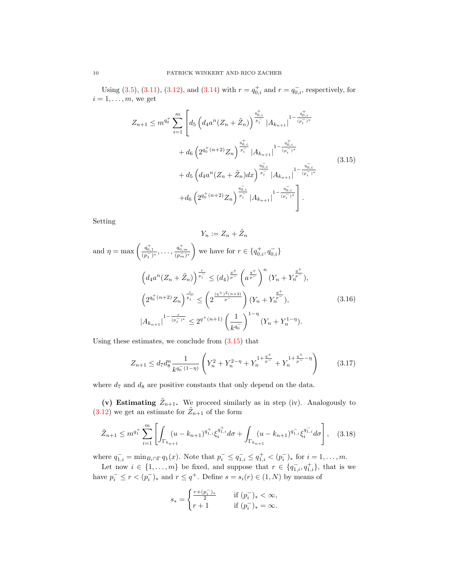Using [\(3.5\)](#page-6-0), [\(3.11\)](#page-7-2), [\(3.12\)](#page-8-1), and [\(3.14\)](#page-8-2) with  $r = q_{0,i}^+$  and  $r = q_{0,i}^-$ , respectively, for  $i = 1, \ldots, m$ , we get

<span id="page-9-0"></span>
$$
Z_{n+1} \leq m^{q_0^+} \sum_{i=1}^m \left[ d_5 \left( d_4 a^n (Z_n + \tilde{Z}_n) \right)^{\frac{q_{0,i}^+}{p_i^-}} |A_{k_{n+1}}|^{1 - \frac{q_{0,i}^+}{(p_i^-)^*}} \right. \\
\left. + d_6 \left( 2^{q_0^+(n+2)} Z_n \right)^{\frac{q_{0,i}^+}{p_i^-}} |A_{k_{n+1}}|^{1 - \frac{q_{0,i}^+}{(p_i^-)^*}} \right. \\
\left. + d_5 \left( d_4 a^n (Z_n + \tilde{Z}_n) dx \right)^{\frac{q_{0,i}^-}{p_i^-}} |A_{k_{n+1}}|^{1 - \frac{q_{0,i}^-}{(p_i^-)^*}} \right. \\
\left. + d_6 \left( 2^{q_0^+(n+2)} Z_n \right)^{\frac{q_{0,i}^-}{p_i^-}} |A_{k_{n+1}}|^{1 - \frac{q_{0,i}^-}{(p_i^-)^*}} \right].
$$
\n
$$
(3.15)
$$

Setting

$$
Y_n := Z_n + \tilde{Z}_n
$$
  
and  $\eta = \max \left( \frac{q_{0,1}^+}{(p_1^-)^*}, \dots, \frac{q_{0,m}^+}{(p_m^-)^*} \right)$  we have for  $r \in \{q_{0,i}^+, q_{0,i}^-\}$   

$$
\left( d_4 a^n (Z_n + \tilde{Z}_n) \right)^{\frac{r}{p_i^-}} \leq (d_4)^{\frac{q^+}{p^-}} \left( a^{\frac{q^+}{p^-}} \right)^n (Y_n + Y_n^{\frac{q^+}{p^-}}),
$$

$$
\left( 2^{q_0^+(n+2)} Z_n \right)^{\frac{r}{p_i^-}} \leq \left( 2^{\frac{(q^+)^2(n+2)}{p^-}} \right) (Y_n + Y_n^{\frac{q^+}{p^-}}),
$$

$$
|A_{k_{n+1}}|^{1 - \frac{r}{(p_i^-)^*}} \leq 2^{q^+(n+1)} \left( \frac{1}{k^{q_0^-}} \right)^{1-\eta} (Y_n + Y_n^{1-\eta}).
$$

$$
(3.16)
$$

Using these estimates, we conclude from [\(3.15\)](#page-9-0) that

<span id="page-9-3"></span><span id="page-9-2"></span>
$$
Z_{n+1} \le d_7 d_8^n \frac{1}{k^{q_0^-(1-\eta)}} \left( Y_n^2 + Y_n^{2-\eta} + Y_n^{1+\frac{q^+}{p^-}} + Y_n^{1+\frac{q^+}{p^-}-\eta} \right) \tag{3.17}
$$

where  $d_7$  and  $d_8$  are positive constants that only depend on the data.

(v) Estimating  $\tilde{Z}_{n+1}$ . We proceed similarly as in step (iv). Analogously to  $(3.12)$  we get an estimate for  $\tilde{Z}_{n+1}$  of the form

$$
\tilde{Z}_{n+1} \leq m^{q_1^+} \sum_{i=1}^m \left[ \int_{\Gamma_{k_{n+1}}} (u - k_{n+1})^{q_{1,i}^+} \xi_i^{q_{1,i}^+} d\sigma + \int_{\Gamma_{k_{n+1}}} (u - k_{n+1})^{q_{1,i}^-} \xi_i^{q_{1,i}^-} d\sigma \right], \quad (3.18)
$$

where  $q_{1,i}^- = \min_{B_i \cap \Gamma} q_1(x)$ . Note that  $p_i^- \leq q_{1,i}^- \leq q_{1,i}^+ < (p_i^-)_*$  for  $i = 1, \ldots, m$ .

Let now  $i \in \{1, \ldots, m\}$  be fixed, and suppose that  $r \in \{q_{1,i}^-, q_{1,i}^+\}$ , that is we have  $p_i^- \le r < (p_i^-)_*$  and  $r \le q^+$ . Define  $s = s_i(r) \in (1, N)$  by means of

<span id="page-9-1"></span>
$$
s_*=\begin{cases}\frac{r+(p_i^-)_*}{2}\quad &\text{if}\ (p_i^-)_*<\infty,\\ r+1\quad &\text{if}\ (p_i^-)_*=\infty.\end{cases}
$$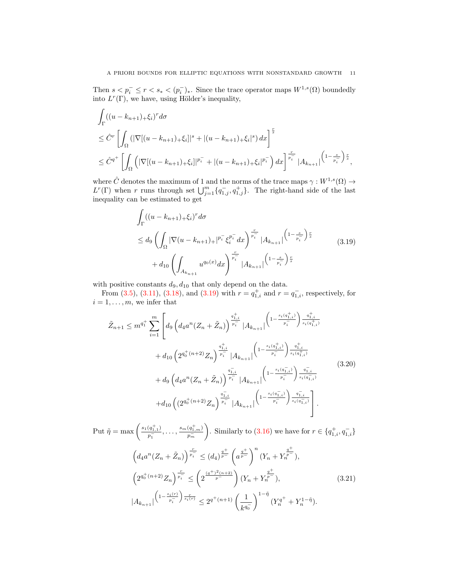Then  $s < p_i^- \leq r < s_* < (p_i^-)_*.$  Since the trace operator maps  $W^{1,s}(\Omega)$  boundedly into  $L^r(\Gamma)$ , we have, using Hölder's inequality,

$$
\int_{\Gamma} ((u - k_{n+1})_{+} \xi_{i})^{r} d\sigma
$$
\n
$$
\leq \hat{C}^{r} \left[ \int_{\Omega} (|\nabla[(u - k_{n+1})_{+} \xi_{i}]|^{s} + |(u - k_{n+1})_{+} \xi_{i}|^{s}) dx \right]^{\frac{r}{s}}
$$
\n
$$
\leq \hat{C}^{q^{+}} \left[ \int_{\Omega} (|\nabla[(u - k_{n+1})_{+} \xi_{i}]|^{p_{i}^{-}} + |(u - k_{n+1})_{+} \xi_{i}|^{p_{i}^{-}}) dx \right]^{\frac{r}{p_{i}^{-}}} |A_{k_{n+1}}|^{(1 - \frac{s}{p_{i}^{-}}) \frac{r}{s}},
$$

where  $\hat{C}$  denotes the maximum of 1 and the norms of the trace maps  $\gamma: W^{1,s}(\Omega) \to$  $L^r(\Gamma)$  when r runs through set  $\bigcup_{j=1}^m \{q_{1,j}^-, q_{1,j}^+\}$ . The right-hand side of the last inequality can be estimated to get

<span id="page-10-0"></span>
$$
\int_{\Gamma} ((u - k_{n+1})_{+} \xi_{i})^{r} d\sigma
$$
\n
$$
\leq d_{9} \left( \int_{\Omega} |\nabla (u - k_{n+1})_{+}|^{p_{i}^{-}} \xi_{i}^{p_{i}^{-}} dx \right)^{\frac{r}{p_{i}^{-}}} |A_{k_{n+1}}|^{(1 - \frac{s}{p_{i}^{-}}) \frac{r}{s}}
$$
\n
$$
+ d_{10} \left( \int_{A_{k_{n+1}}} u^{q_{0}(x)} dx \right)^{\frac{r}{p_{i}^{-}}} |A_{k_{n+1}}|^{(1 - \frac{s}{p_{i}^{-}}) \frac{r}{s}}
$$
\n(3.19)

with positive constants  $d_9, d_{10}$  that only depend on the data.

From [\(3.5\)](#page-6-0), [\(3.11\)](#page-7-2), [\(3.18\)](#page-9-1), and [\(3.19\)](#page-10-0) with  $r = q_{1,i}^+$  and  $r = \overline{q_{1,i}}$ , respectively, for  $i = 1, \ldots, m$ , we infer that

<span id="page-10-1"></span>
$$
\tilde{Z}_{n+1} \leq m^{q_1^+} \sum_{i=1}^m \left[ d_9 \left( d_4 a^n (Z_n + \tilde{Z}_n) \right)^{\frac{q_{1,i}^+}{p_i^-}} |A_{k_{n+1}}| \left( 1 - \frac{s_i (q_{1,i}^+)}{p_i^-} \right)^{\frac{q_{1,i}^+}{s_i (q_{1,i}^+)}} \right. \\
\left. + d_{10} \left( 2^{q_0^+ (n+2)} Z_n \right)^{\frac{q_{1,i}^-}{p_i^-}} |A_{k_{n+1}}| \left( 1 - \frac{s_i (q_{1,i}^-)}{p_i^-} \right)^{\frac{q_{1,i}^+}{s_i (q_{1,i}^+)}} \right. \\
\left. + d_9 \left( d_4 a^n (Z_n + \tilde{Z}_n) \right)^{\frac{q_{1,i}^-}{p_i^-}} |A_{k_{n+1}}| \left( 1 - \frac{s_i (q_{1,i}^-)}{p_i^-} \right)^{\frac{q_{1,i}^-}{s_i (q_{1,i}^+)}} \right] \right. \\
\left. + d_{10} \left( (2^{q_0^+ (n+2)} Z_n \right)^{\frac{q_{1,i}^-}{p_i^-}} |A_{k_{n+1}}| \left( 1 - \frac{s_i (q_{1,i}^-)}{p_i^-} \right)^{\frac{q_{1,i}^-}{s_i (q_{1,i}^-)}} \right].\n\tag{3.20}
$$

<span id="page-10-2"></span>Put  $\tilde{\eta} = \max \left( \frac{s_1(q_{1,1}^+)}{s_1 - 1} \right)$  $\frac{(q^+_{1,1})}{p^-_1},\ldots,\frac{s_m(q^+_{1,m})}{p^-_m}$  $\overline{p_m^-}$ ). Similarly to  $(3.16)$  we have for  $r \in \{q_{1,i}^+, q_{1,i}^-\}$  $\left(d_4 a^n (Z_n + \tilde{Z}_n)\right)^{\frac{r}{p_i}} \leq (d_4)^{\frac{q^+}{p^-}} \left(a^{\frac{q^+}{p^-}}\right)^n (Y_n + Y)$  $\left(\frac{q^+}{p^-}\right),$  $\left(2^{q_0^+(n+2)}Z_n\right)^{\frac{r}{p_i^-}} \leq \left(2^{\frac{(q^+)^2(n+2)}{p^-}}\right)(Y_n+Y)$  $\left(\frac{q^+}{p^-}\right),$  $|A_{k_{n+1}}|$  $\left(1-\frac{s_i(r)}{p_i^-}\right)$  $\int_{s_i(r)}^{r} \leq 2^{q^+(n+1)} \left( \frac{1}{\cdots} \right)$  $k^{q_0^-}$  $\bigg)^{1-\tilde{\eta}}(Y_n^{q^+}+Y_n^{1-\tilde{\eta}}).$ (3.21)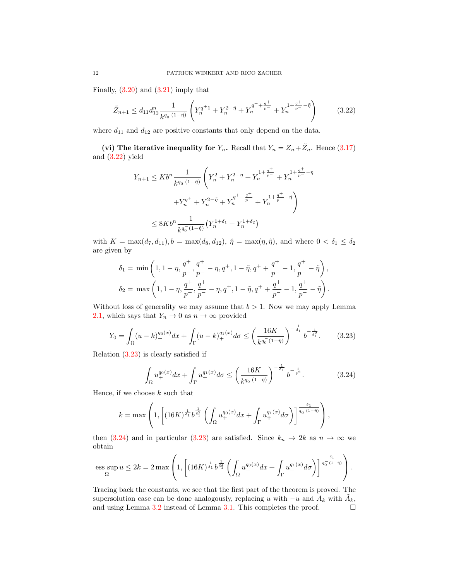Finally,  $(3.20)$  and  $(3.21)$  imply that

$$
\tilde{Z}_{n+1} \le d_{11} d_{12}^n \frac{1}{k^{q_0^-(1-\tilde{\eta})}} \left( Y_n^{q^+1} + Y_n^{2-\tilde{\eta}} + Y_n^{q^+ + \frac{q^+}{p^-}} + Y_n^{1+\frac{q^+}{p^-}-\tilde{\eta}} \right)
$$
(3.22)

where  $d_{11}$  and  $d_{12}$  are positive constants that only depend on the data.

(vi) The iterative inequality for  $Y_n$ . Recall that  $Y_n = Z_n + \tilde{Z}_n$ . Hence [\(3.17\)](#page-9-3) and [\(3.22\)](#page-11-0) yield

<span id="page-11-0"></span>
$$
Y_{n+1} \le Kb^{n} \frac{1}{k^{q_0^{-}}(1-\hat{\eta})} \left(Y_n^2 + Y_n^{2-\eta} + Y_n^{1 + \frac{q^+}{p^-}} + Y_n^{1 + \frac{q^+}{p^-} - \eta} + Y_n^{q^+} + Y_n^{2-\tilde{\eta}} + Y_n^{q^+ + \frac{q^+}{p^-}} + Y_n^{1 + \frac{q^+}{p^-} - \tilde{\eta}}\right)
$$
  

$$
\le 8Kb^{n} \frac{1}{k^{q_0^{-}}(1-\hat{\eta})} \left(Y_n^{1+\delta_1} + Y_n^{1+\delta_2}\right)
$$

with  $K = \max(d_7, d_{11}), b = \max(d_8, d_{12}), \hat{\eta} = \max(\eta, \tilde{\eta})$ , and where  $0 < \delta_1 \leq \delta_2$ are given by

$$
\delta_1 = \min\left(1, 1 - \eta, \frac{q^+}{p^-}, \frac{q^+}{p^-} - \eta, q^+, 1 - \tilde{\eta}, q^+ + \frac{q^+}{p^-} - 1, \frac{q^+}{p^-} - \tilde{\eta}\right),
$$
  

$$
\delta_2 = \max\left(1, 1 - \eta, \frac{q^+}{p^-}, \frac{q^+}{p^-} - \eta, q^+, 1 - \tilde{\eta}, q^+ + \frac{q^+}{p^-} - 1, \frac{q^+}{p^-} - \tilde{\eta}\right).
$$

Without loss of generality we may assume that  $b > 1$ . Now we may apply Lemma [2.1,](#page-3-0) which says that  $Y_n \to 0$  as  $n \to \infty$  provided

$$
Y_0 = \int_{\Omega} (u - k)_+^{q_0(x)} dx + \int_{\Gamma} (u - k)_+^{q_1(x)} d\sigma \le \left(\frac{16K}{k^{q_0^-(1-\hat{\eta})}}\right)^{-\frac{1}{\delta_1}} b^{-\frac{1}{\delta_1^2}}.
$$
 (3.23)

Relation [\(3.23\)](#page-11-1) is clearly satisfied if

<span id="page-11-2"></span><span id="page-11-1"></span>
$$
\int_{\Omega} u_{+}^{q_0(x)} dx + \int_{\Gamma} u_{+}^{q_1(x)} d\sigma \le \left(\frac{16K}{k^{q_0}(1-\hat{\eta})}\right)^{-\frac{1}{\delta_1}} b^{-\frac{1}{\delta_1^2}}.
$$
 (3.24)

Hence, if we choose  $k$  such that

$$
k = \max\left(1, \left[ (16K)^{\frac{1}{\delta_1}} b^{\frac{1}{\delta_1^2}} \left( \int_{\Omega} u_+^{q_0(x)} dx + \int_{\Gamma} u_+^{q_1(x)} d\sigma \right) \right]^{\frac{\delta_1}{q_0^-(1-\tilde{\eta})}} \right),
$$

then [\(3.24\)](#page-11-2) and in particular [\(3.23\)](#page-11-1) are satisfied. Since  $k_n \to 2k$  as  $n \to \infty$  we obtain

$$
\text{ess}\sup_{\Omega} u \leq 2k = 2\max\left(1,\left[(16K)^{\frac{1}{\delta_1}} b^{\frac{1}{\delta_1^2}} \left(\int_{\Omega} u_+^{q_0(x)}dx + \int_{\Gamma} u_+^{q_1(x)}d\sigma\right)\right]^{\frac{\delta_1}{q_0^-(1-\hat{\eta})}}\right).
$$

Tracing back the constants, we see that the first part of the theorem is proved. The supersolution case can be done analogously, replacing u with  $-u$  and  $A_k$  with  $\tilde{A}_k$ , and using Lemma [3.2](#page-5-1) instead of Lemma [3.1.](#page-4-1) This completes the proof.  $\Box$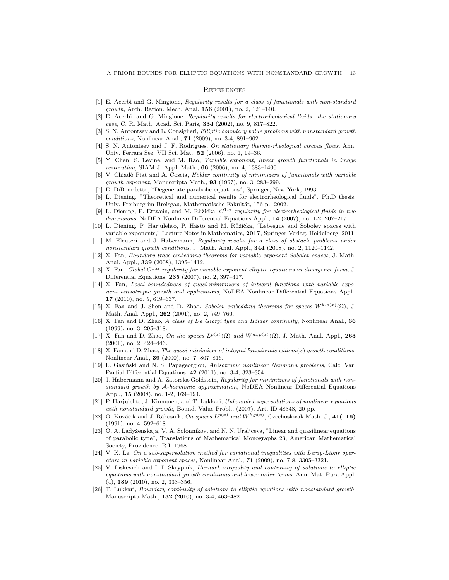#### **REFERENCES**

- <span id="page-12-7"></span>[1] E. Acerbi and G. Mingione, Regularity results for a class of functionals with non-standard *growth*, Arch. Ration. Mech. Anal.  $156$  (2001), no. 2, 121-140.
- <span id="page-12-8"></span>[2] E. Acerbi, and G. Mingione, Regularity results for electrorheological fluids: the stationary case, C. R. Math. Acad. Sci. Paris, 334 (2002), no. 9, 817–822.
- <span id="page-12-9"></span>[3] S. N. Antontsev and L. Consiglieri, Elliptic boundary value problems with nonstandard growth conditions, Nonlinear Anal., 71 (2009), no. 3-4, 891–902.
- <span id="page-12-0"></span>[4] S. N. Antontsev and J. F. Rodrigues, On stationary thermo-rheological viscous flows, Ann. Univ. Ferrara Sez. VII Sci. Mat., 52 (2006), no. 1, 19–36.
- <span id="page-12-2"></span>[5] Y. Chen, S. Levine, and M. Rao, Variable exponent, linear growth functionals in image restoration, SIAM J. Appl. Math., 66 (2006), no. 4, 1383–1406.
- <span id="page-12-10"></span>[6] V. Chiadò Piat and A. Coscia, Hölder continuity of minimizers of functionals with variable growth exponent, Manuscripta Math., 93 (1997), no. 3, 283–299.
- <span id="page-12-24"></span>[7] E. DiBenedetto, "Degenerate parabolic equations", Springer, New York, 1993.
- <span id="page-12-1"></span>[8] L. Diening, "Theoretical and numerical results for electrorheological fluids", Ph.D thesis, Univ. Freiburg im Breisgau, Mathematische Fakultät, 156 p., 2002.
- <span id="page-12-11"></span>[9] L. Diening, F. Ettwein, and M. Růžička,  $C^{1,\alpha}$ -regularity for electrorheological fluids in two dimensions, NoDEA Nonlinear Differential Equations Appl., 14 (2007), no. 1-2, 207–217.
- <span id="page-12-22"></span>[10] L. Diening, P. Harjulehto, P. Hästö and M. Růžička, "Lebesgue and Sobolev spaces with variable exponents," Lecture Notes in Mathematics, 2017, Springer-Verlag, Heidelberg, 2011.
- <span id="page-12-12"></span>[11] M. Eleuteri and J. Habermann, Regularity results for a class of obstacle problems under nonstandard growth conditions, J. Math. Anal. Appl., 344 (2008), no. 2, 1120–1142.
- <span id="page-12-4"></span>[12] X. Fan, Boundary trace embedding theorems for variable exponent Sobolev spaces, J. Math. Anal. Appl., 339 (2008), 1395–1412.
- <span id="page-12-13"></span>[13] X. Fan, Global  $C^{1,\alpha}$  regularity for variable exponent elliptic equations in divergence form, J. Differential Equations, 235 (2007), no. 2, 397–417.
- <span id="page-12-14"></span>[14] X. Fan, Local boundedness of quasi-minimizers of integral functions with variable exponent anisotropic growth and applications, NoDEA Nonlinear Differential Equations Appl., 17 (2010), no. 5, 619–637.
- <span id="page-12-3"></span>[15] X. Fan and J. Shen and D. Zhao, Sobolev embedding theorems for spaces  $W^{k,p(x)}(\Omega)$ , J. Math. Anal. Appl., 262 (2001), no. 2, 749–760.
- <span id="page-12-5"></span>[16] X. Fan and D. Zhao, A class of De Giorgi type and Hölder continuity, Nonlinear Anal.,  $36$ (1999), no. 3, 295–318.
- <span id="page-12-20"></span>[17] X. Fan and D. Zhao, On the spaces  $L^{p(x)}(\Omega)$  and  $W^{m,p(x)}(\Omega)$ , J. Math. Anal. Appl., 263 (2001), no. 2, 424–446.
- <span id="page-12-15"></span>[18] X. Fan and D. Zhao, The quasi-minimizer of integral functionals with  $m(x)$  growth conditions, Nonlinear Anal., 39 (2000), no. 7, 807–816.
- <span id="page-12-6"></span>[19] L. Gasiński and N. S. Papageorgiou, Anisotropic nonlinear Neumann problems, Calc. Var. Partial Differential Equations, 42 (2011), no. 3-4, 323–354.
- <span id="page-12-16"></span>[20] J. Habermann and A. Zatorska-Goldstein, Regularity for minimizers of functionals with nonstandard growth by A-harmonic approximation, NoDEA Nonlinear Differential Equations Appl., 15 (2008), no. 1-2, 169–194.
- <span id="page-12-17"></span>[21] P. Harjulehto, J. Kinnunen, and T. Lukkari, Unbounded supersolutions of nonlinear equations with nonstandard growth, Bound. Value Probl., (2007), Art. ID 48348, 20 pp.
- <span id="page-12-21"></span>[22] O. Kováčik and J. Rákosník, On spaces  $L^{p(x)}$  and  $W^{k,p(x)}$ , Czechoslovak Math. J., 41(116) (1991), no. 4, 592–618.
- <span id="page-12-23"></span>[23] O. A. Ladyženskaja, V. A. Solonnikov, and N. N. Ural'ceva, "Linear and quasilinear equations of parabolic type", Translations of Mathematical Monographs 23, American Mathematical Society, Providence, R.I. 1968.
- <span id="page-12-25"></span>[24] V. K. Le, On a sub-supersolution method for variational inequalities with Leray-Lions operators in variable exponent spaces, Nonlinear Anal., 71 (2009), no. 7-8, 3305–3321.
- <span id="page-12-18"></span>[25] V. Liskevich and I. I. Skrypnik, Harnack inequality and continuity of solutions to elliptic equations with nonstandard growth conditions and lower order terms, Ann. Mat. Pura Appl. (4), 189 (2010), no. 2, 333–356.
- <span id="page-12-19"></span>[26] T. Lukkari, Boundary continuity of solutions to elliptic equations with nonstandard growth, Manuscripta Math., 132 (2010), no. 3-4, 463–482.